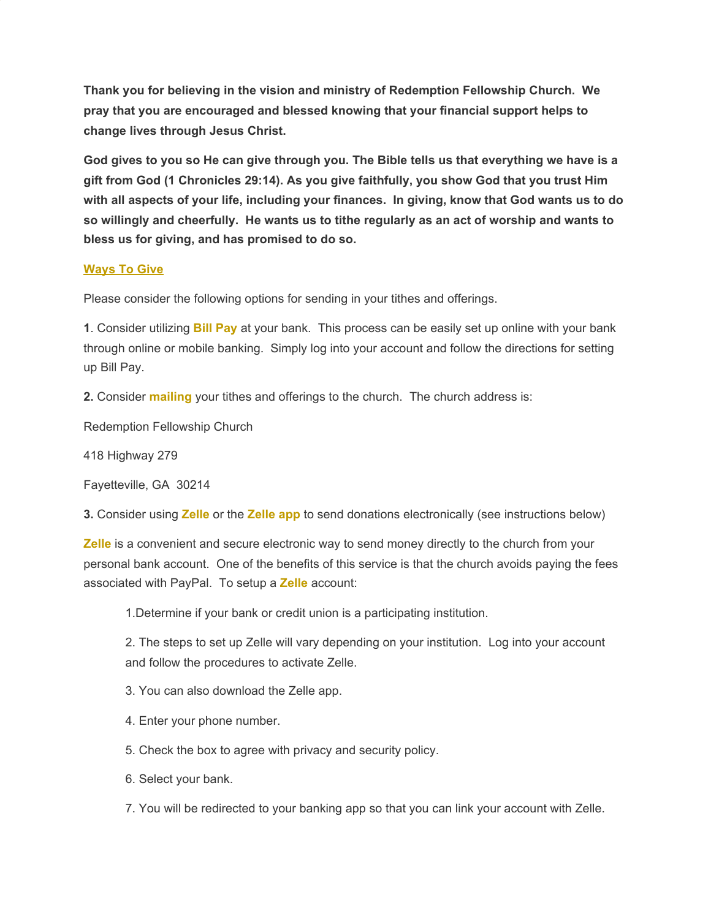**Thank you for believing in the vision and ministry of Redemption Fellowship Church. We pray that you are encouraged and blessed knowing that your financial support helps to change lives through Jesus Christ.**

**God gives to you so He can give through you. The Bible tells us that everything we have is a gift from God (1 Chronicles 29:14). As you give faithfully, you show God that you trust Him with all aspects of your life, including your finances. In giving, know that God wants us to do so willingly and cheerfully. He wants us to tithe regularly as an act of worship and wants to bless us for giving, and has promised to do so.**

## **Ways To Give**

Please consider the following options for sending in your tithes and offerings.

**1**. Consider utilizing **Bill Pay** at your bank. This process can be easily set up online with your bank through online or mobile banking. Simply log into your account and follow the directions for setting up Bill Pay.

**2.** Consider **mailing** your tithes and offerings to the church. The church address is:

Redemption Fellowship Church

418 Highway 279

Fayetteville, GA 30214

**3.** Consider using **Zelle** or the **Zelle app** to send donations electronically (see instructions below)

**Zelle** is a convenient and secure electronic way to send money directly to the church from your personal bank account. One of the benefits of this service is that the church avoids paying the fees associated with PayPal. To setup a **Zelle** account:

1.Determine if your bank or credit union is a participating institution.

2. The steps to set up Zelle will vary depending on your institution. Log into your account and follow the procedures to activate Zelle.

3. You can also download the Zelle app.

4. Enter your phone number.

5. Check the box to agree with privacy and security policy.

6. Select your bank.

7. You will be redirected to your banking app so that you can link your account with Zelle.